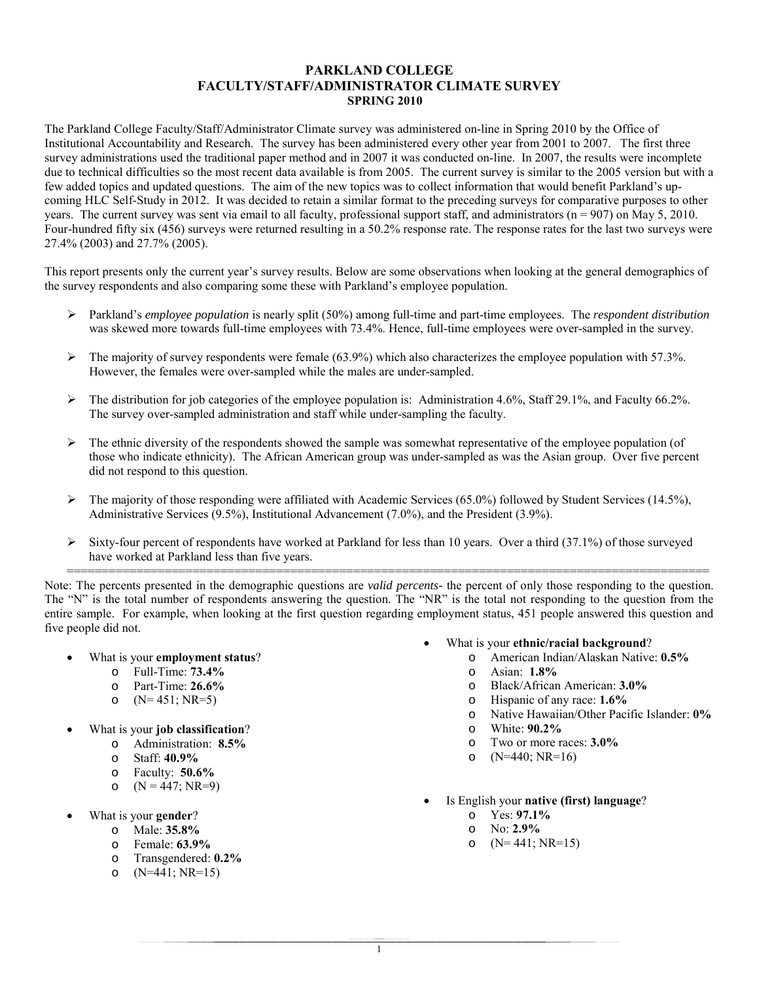## **PARKLAND COLLEGE FACULTY/STAFF/ADMINISTRATOR CLIMATE SURVEY SPRING 2010**

The Parkland College Faculty/Staff/Administrator Climate survey was administered on-line in Spring 2010 by the Office of Institutional Accountability and Research. The survey has been administered every other year from 2001 to 2007. The first three survey administrations used the traditional paper method and in 2007 it was conducted on-line. In 2007, the results were incomplete due to technical difficulties so the most recent data available is from 2005. The current survey is similar to the 2005 version but with a few added topics and updated questions. The aim of the new topics was to collect information that would benefit Parkland's upcoming HLC Self-Study in 2012. It was decided to retain a similar format to the preceding surveys for comparative purposes to other years. The current survey was sent via email to all faculty, professional support staff, and administrators (n = 907) on May 5, 2010. Four-hundred fifty six (456) surveys were returned resulting in a 50.2% response rate. The response rates for the last two surveys were 27.4% (2003) and 27.7% (2005).

This report presents only the current year's survey results. Below are some observations when looking at the general demographics of the survey respondents and also comparing some these with Parkland's employee population.

- Parkland's *employee population* is nearly split (50%) among full-time and part-time employees. The *respondent distribution* was skewed more towards full-time employees with 73.4%. Hence, full-time employees were over-sampled in the survey.
- $\triangleright$  The majority of survey respondents were female (63.9%) which also characterizes the employee population with 57.3%. However, the females were over-sampled while the males are under-sampled.
- $\triangleright$  The distribution for job categories of the employee population is: Administration 4.6%, Staff 29.1%, and Faculty 66.2%. The survey over-sampled administration and staff while under-sampling the faculty.
- $\triangleright$  The ethnic diversity of the respondents showed the sample was somewhat representative of the employee population (of those who indicate ethnicity). The African American group was under-sampled as was the Asian group. Over five percent did not respond to this question.
- $\triangleright$  The majority of those responding were affiliated with Academic Services (65.0%) followed by Student Services (14.5%), Administrative Services (9.5%), Institutional Advancement (7.0%), and the President (3.9%).
- $\triangleright$  Sixty-four percent of respondents have worked at Parkland for less than 10 years. Over a third (37.1%) of those surveyed have worked at Parkland less than five years.

============================================================================================ Note: The percents presented in the demographic questions are *valid percents-* the percent of only those responding to the question. The "N" is the total number of respondents answering the question. The "NR" is the total not responding to the question from the entire sample. For example, when looking at the first question regarding employment status, 451 people answered this question and five people did not.

- What is your **employment status**?
	- o Full-Time: **73.4%**
	- o Part-Time: **26.6%**
	- o  $(N= 451; NR=5)$
- What is your **job classification**?
	- o Administration: **8.5%**
	- o Staff: **40.9%**
	- o Faculty: **50.6%**
	- o  $(N = 447; NR=9)$
- What is your **gender**?
	- o Male: **35.8%**
		- o Female: **63.9%**
		- o Transgendered: **0.2%**
		- o (N=441; NR=15)
- What is your **ethnic/racial background**?
	- o American Indian/Alaskan Native: **0.5%**
	- o Asian: **1.8%**
	- o Black/African American: **3.0%**
	- o Hispanic of any race: **1.6%**
	- o Native Hawaiian/Other Pacific Islander: **0%**
	- o White: **90.2%**
	- o Two or more races: **3.0%**
	- o  $(N=440; NR=16)$
- Is English your **native (first) language**?
	- o Yes: **97.1%**
	- o No: **2.9%**
	- o  $(N= 441; NR=15)$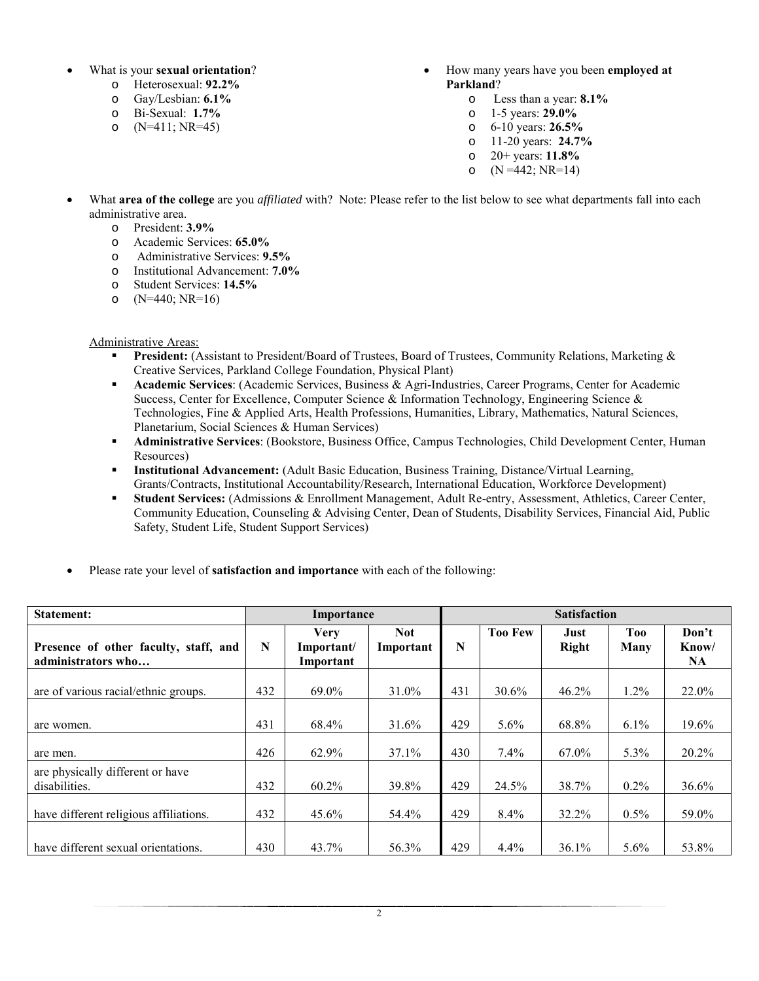- What is your **sexual orientation**?
	- o Heterosexual: **92.2%**
	-
	- o Gay/Lesbian: **6.1%** o Bi-Sexual: **1.7%**
	- $(N=411; NR=45)$
- How many years have you been **employed at Parkland**?
	- o Less than a year: **8.1%**
	- o 1-5 years: **29.0%**
	- o 6-10 years: **26.5%**
	- o 11-20 years: **24.7%**
	- o 20+ years: **11.8%**
	- o  $(N = 442; NR = 14)$
- What **area of the college** are you *affiliated* with? Note: Please refer to the list below to see what departments fall into each administrative area.
	- o President: **3.9%**
	- Academic Services: **65.0%**
	- o Administrative Services: **9.5%**
	- o Institutional Advancement: **7.0%**
	- o Student Services: **14.5%**
	- o (N=440; NR=16)

Administrative Areas:

- **President:** (Assistant to President/Board of Trustees, Board of Trustees, Community Relations, Marketing & Creative Services, Parkland College Foundation, Physical Plant)
- **Academic Services**: (Academic Services, Business & Agri-Industries, Career Programs, Center for Academic Success, Center for Excellence, Computer Science & Information Technology, Engineering Science & Technologies, Fine & Applied Arts, Health Professions, Humanities, Library, Mathematics, Natural Sciences, Planetarium, Social Sciences & Human Services)
- **Administrative Services**: (Bookstore, Business Office, Campus Technologies, Child Development Center, Human Resources)
- **Institutional Advancement:** (Adult Basic Education, Business Training, Distance/Virtual Learning, Grants/Contracts, Institutional Accountability/Research, International Education, Workforce Development)
- **Student Services:** (Admissions & Enrollment Management, Adult Re-entry, Assessment, Athletics, Career Center, Community Education, Counseling & Advising Center, Dean of Students, Disability Services, Financial Aid, Public Safety, Student Life, Student Support Services)
- Please rate your level of **satisfaction and importance** with each of the following:

| <b>Statement:</b>                                           |     | Importance                             |                         |     | <b>Satisfaction</b> |                      |             |                             |
|-------------------------------------------------------------|-----|----------------------------------------|-------------------------|-----|---------------------|----------------------|-------------|-----------------------------|
| Presence of other faculty, staff, and<br>administrators who | N   | <b>Very</b><br>Important/<br>Important | <b>Not</b><br>Important | N   | <b>Too Few</b>      | Just<br><b>Right</b> | Too<br>Many | Don't<br>Know/<br><b>NA</b> |
| are of various racial/ethnic groups.                        | 432 | 69.0%                                  | 31.0%                   | 431 | 30.6%               | 46.2%                | 1.2%        | 22.0%                       |
| are women.                                                  | 431 | 68.4%                                  | 31.6%                   | 429 | $5.6\%$             | 68.8%                | $6.1\%$     | 19.6%                       |
| are men.                                                    | 426 | 62.9%                                  | 37.1%                   | 430 | $7.4\%$             | 67.0%                | 5.3%        | 20.2%                       |
| are physically different or have<br>disabilities.           | 432 | 60.2%                                  | 39.8%                   | 429 | 24.5%               | 38.7%                | $0.2\%$     | 36.6%                       |
| have different religious affiliations.                      | 432 | $45.6\%$                               | 54.4%                   | 429 | 8.4%                | 32.2%                | $0.5\%$     | 59.0%                       |
| have different sexual orientations.                         | 430 | 43.7%                                  | 56.3%                   | 429 | 4.4%                | 36.1%                | $5.6\%$     | 53.8%                       |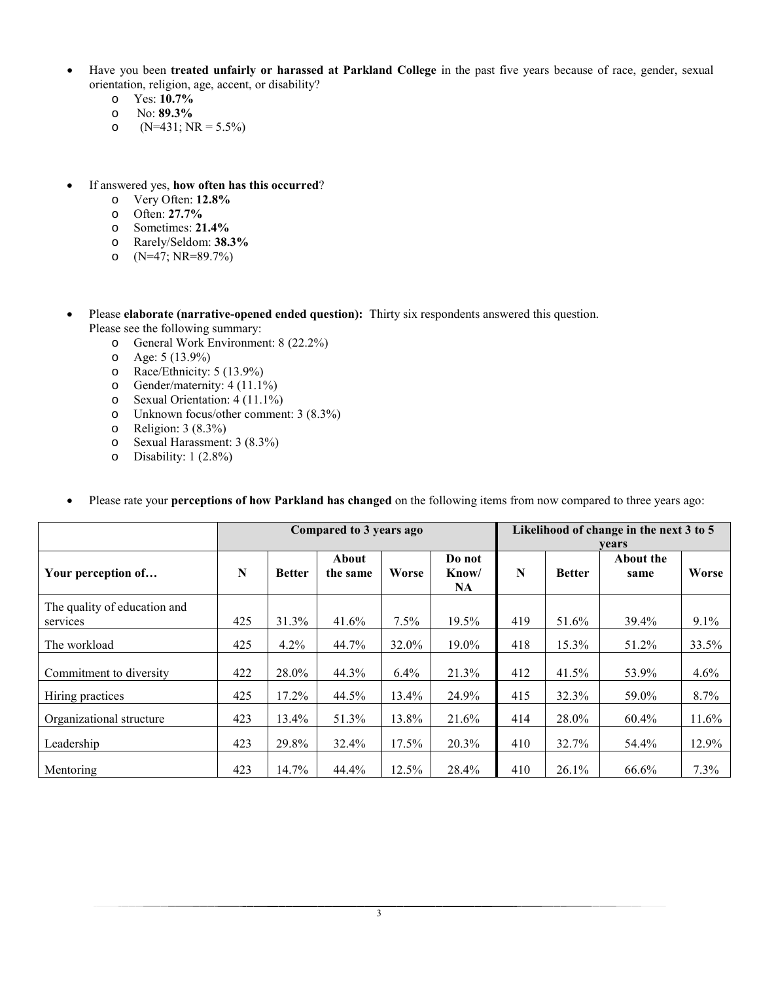- Have you been **treated unfairly or harassed at Parkland College** in the past five years because of race, gender, sexual orientation, religion, age, accent, or disability?
	- o Yes: **10.7%**
	- o No: **89.3%**
	- $(N=431; NR=5.5\%)$
- If answered yes, **how often has this occurred**?
	- o Very Often: **12.8%**
	- o Often: **27.7%**
	- o Sometimes: **21.4%**
	- o Rarely/Seldom: **38.3%**
	- o (N=47; NR=89.7%)
- Please **elaborate (narrative-opened ended question):** Thirty six respondents answered this question. Please see the following summary:
	- o General Work Environment: 8 (22.2%)
	-
	- $\circ$  Age: 5 (13.9%)<br>  $\circ$  Race/Ethnicity: o Race/Ethnicity: 5 (13.9%)<br>
	o Gender/maternity: 4 (11.1%)
	-
	- o Gender/maternity: 4 (11.1%)<br>
	o Sexual Orientation: 4 (11.1%)
	- o Sexual Orientation: 4 (11.1%) o Unknown focus/other comment: 3 (8.3%)
	- Religion: 3 (8.3%)
	- o Sexual Harassment: 3 (8.3%)
	- o Disability: 1 (2.8%)

|                                          |     |               | Compared to 3 years ago |          | Likelihood of change in the next 3 to 5<br>vears |     |               |                   |       |
|------------------------------------------|-----|---------------|-------------------------|----------|--------------------------------------------------|-----|---------------|-------------------|-------|
| Your perception of                       | N   | <b>Better</b> | About<br>the same       | Worse    | Do not<br>Know/<br><b>NA</b>                     | N   | <b>Better</b> | About the<br>same | Worse |
| The quality of education and<br>services | 425 | 31.3%         | 41.6%                   | $7.5\%$  | 19.5%                                            | 419 | 51.6%         | 39.4%             | 9.1%  |
| The workload                             | 425 | 4.2%          | 44.7%                   | 32.0%    | 19.0%                                            | 418 | 15.3%         | 51.2%             | 33.5% |
| Commitment to diversity                  | 422 | 28.0%         | 44.3%                   | 6.4%     | 21.3%                                            | 412 | 41.5%         | 53.9%             | 4.6%  |
| Hiring practices                         | 425 | 17.2%         | 44.5%                   | $13.4\%$ | 24.9%                                            | 415 | 32.3%         | 59.0%             | 8.7%  |
| Organizational structure                 | 423 | 13.4%         | 51.3%                   | 13.8%    | 21.6%                                            | 414 | 28.0%         | 60.4%             | 11.6% |
| Leadership                               | 423 | 29.8%         | 32.4%                   | 17.5%    | 20.3%                                            | 410 | 32.7%         | 54.4%             | 12.9% |
| Mentoring                                | 423 | 14.7%         | 44.4%                   | 12.5%    | 28.4%                                            | 410 | 26.1%         | 66.6%             | 7.3%  |

• Please rate your **perceptions of how Parkland has changed** on the following items from now compared to three years ago: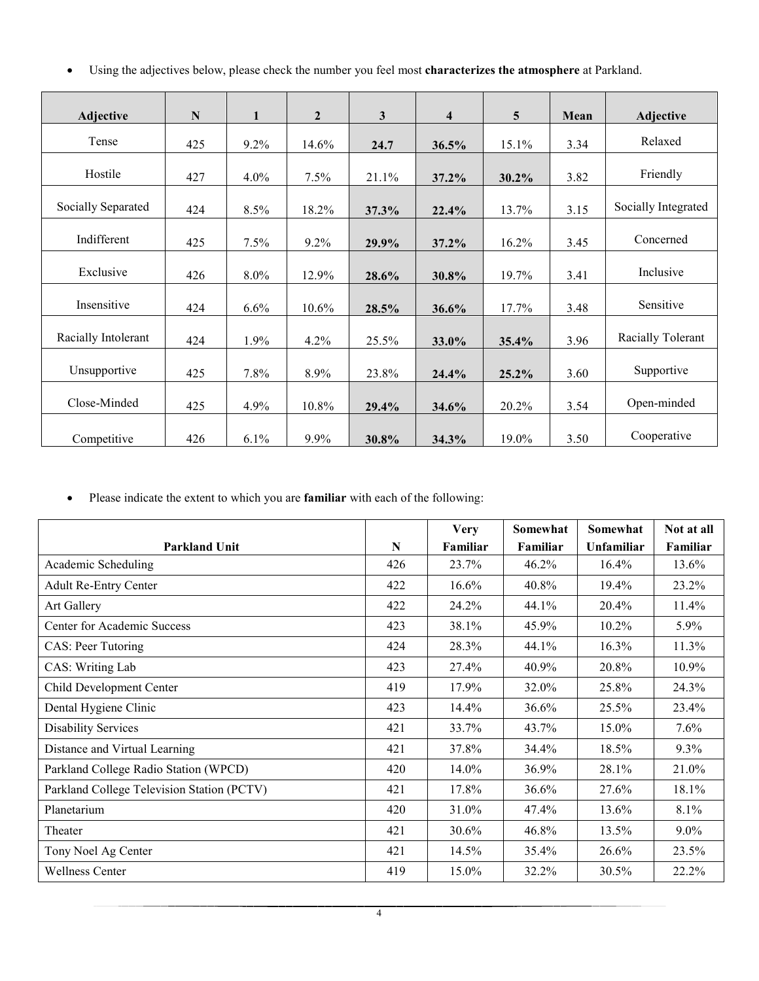• Using the adjectives below, please check the number you feel most **characterizes the atmosphere** at Parkland.

| Adjective           | $\mathbf N$ | $\mathbf{1}$ | $\overline{2}$ | $\mathbf{3}$ | $\overline{\mathbf{4}}$ | 5     | Mean | Adjective           |
|---------------------|-------------|--------------|----------------|--------------|-------------------------|-------|------|---------------------|
|                     |             |              |                |              |                         |       |      |                     |
| Tense               | 425         | 9.2%         | 14.6%          | 24.7         | 36.5%                   | 15.1% | 3.34 | Relaxed             |
| Hostile             | 427         | $4.0\%$      | 7.5%           | 21.1%        | 37.2%                   | 30.2% | 3.82 | Friendly            |
| Socially Separated  | 424         | 8.5%         | 18.2%          | 37.3%        | 22.4%                   | 13.7% | 3.15 | Socially Integrated |
| Indifferent         | 425         | 7.5%         | 9.2%           | 29.9%        | 37.2%                   | 16.2% | 3.45 | Concerned           |
| Exclusive           | 426         | 8.0%         | 12.9%          | 28.6%        | 30.8%                   | 19.7% | 3.41 | Inclusive           |
| Insensitive         | 424         | 6.6%         | 10.6%          | 28.5%        | 36.6%                   | 17.7% | 3.48 | Sensitive           |
| Racially Intolerant | 424         | 1.9%         | 4.2%           | 25.5%        | 33.0%                   | 35.4% | 3.96 | Racially Tolerant   |
| Unsupportive        | 425         | 7.8%         | 8.9%           | 23.8%        | 24.4%                   | 25.2% | 3.60 | Supportive          |
| Close-Minded        | 425         | 4.9%         | 10.8%          | 29.4%        | 34.6%                   | 20.2% | 3.54 | Open-minded         |
| Competitive         | 426         | 6.1%         | 9.9%           | 30.8%        | 34.3%                   | 19.0% | 3.50 | Cooperative         |

• Please indicate the extent to which you are **familiar** with each of the following:

| <b>Parkland Unit</b>                       | N   | <b>Very</b><br>Familiar | Somewhat<br>Familiar | Somewhat<br><b>Unfamiliar</b> | Not at all<br>Familiar |
|--------------------------------------------|-----|-------------------------|----------------------|-------------------------------|------------------------|
| Academic Scheduling                        | 426 | 23.7%                   | 46.2%                | 16.4%                         | 13.6%                  |
| <b>Adult Re-Entry Center</b>               | 422 | 16.6%                   | 40.8%                | 19.4%                         | 23.2%                  |
| Art Gallery                                | 422 | 24.2%                   | 44.1%                | 20.4%                         | 11.4%                  |
| Center for Academic Success                | 423 | 38.1%                   | 45.9%                | 10.2%                         | 5.9%                   |
| CAS: Peer Tutoring                         | 424 | 28.3%                   | 44.1%                | 16.3%                         | 11.3%                  |
| CAS: Writing Lab                           | 423 | 27.4%                   | 40.9%                | 20.8%                         | 10.9%                  |
| Child Development Center                   | 419 | 17.9%                   | 32.0%                | 25.8%                         | 24.3%                  |
| Dental Hygiene Clinic                      | 423 | 14.4%                   | 36.6%                | 25.5%                         | 23.4%                  |
| <b>Disability Services</b>                 | 421 | 33.7%                   | 43.7%                | 15.0%                         | $7.6\%$                |
| Distance and Virtual Learning              | 421 | 37.8%                   | 34.4%                | 18.5%                         | $9.3\%$                |
| Parkland College Radio Station (WPCD)      | 420 | 14.0%                   | 36.9%                | 28.1%                         | 21.0%                  |
| Parkland College Television Station (PCTV) | 421 | 17.8%                   | 36.6%                | 27.6%                         | 18.1%                  |
| Planetarium                                | 420 | 31.0%                   | 47.4%                | 13.6%                         | 8.1%                   |
| Theater                                    | 421 | 30.6%                   | 46.8%                | 13.5%                         | $9.0\%$                |
| Tony Noel Ag Center                        | 421 | 14.5%                   | 35.4%                | 26.6%                         | 23.5%                  |
| <b>Wellness Center</b>                     | 419 | 15.0%                   | 32.2%                | 30.5%                         | 22.2%                  |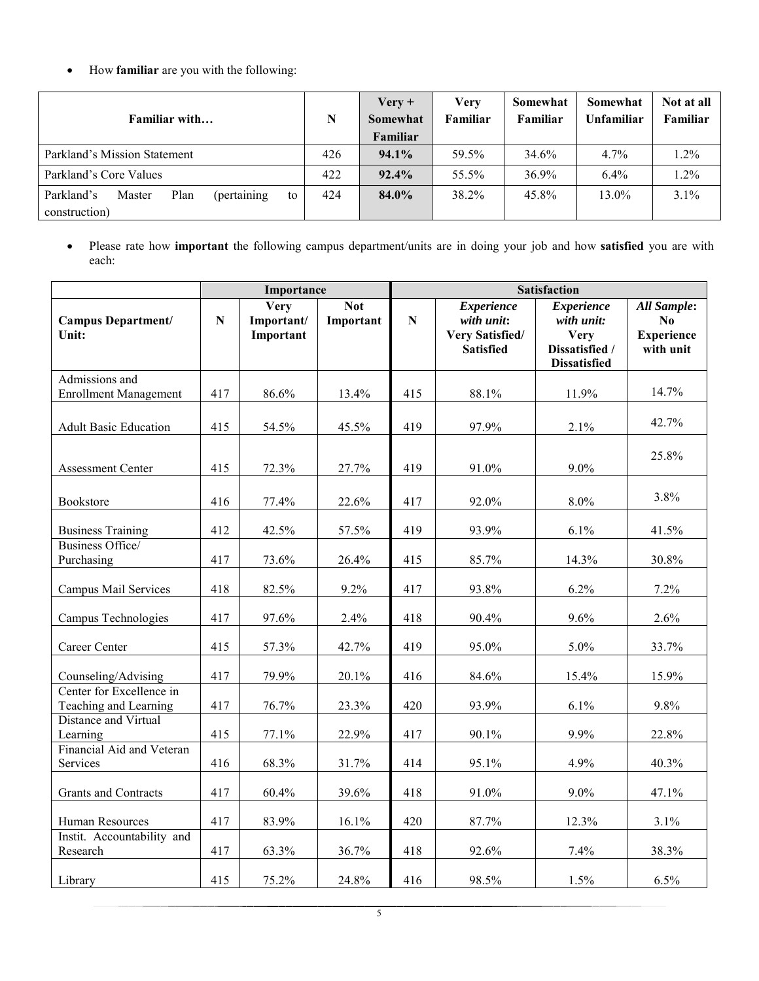• How **familiar** are you with the following:

|                                                    |     | $Verify +$ | <b>Very</b> | Somewhat | Somewhat   | Not at all |
|----------------------------------------------------|-----|------------|-------------|----------|------------|------------|
| Familiar with                                      | N   | Somewhat   | Familiar    | Familiar | Unfamiliar | Familiar   |
|                                                    |     | Familiar   |             |          |            |            |
| Parkland's Mission Statement                       | 426 | $94.1\%$   | 59.5%       | 34.6%    | $4.7\%$    | 1.2%       |
| Parkland's Core Values                             | 422 | $92.4\%$   | 55.5%       | 36.9%    | $6.4\%$    | 1.2%       |
| (pertaining)<br>Parkland's<br>Plan<br>Master<br>to | 424 | 84.0%      | 38.2%       | 45.8%    | 13.0%      | 3.1%       |
| construction)                                      |     |            |             |          |            |            |

• Please rate how **important** the following campus department/units are in doing your job and how **satisfied** you are with each:

|                                                   |           | Importance                             |                         | <b>Satisfaction</b> |                                                                               |                                                                                         |                                                            |  |
|---------------------------------------------------|-----------|----------------------------------------|-------------------------|---------------------|-------------------------------------------------------------------------------|-----------------------------------------------------------------------------------------|------------------------------------------------------------|--|
| <b>Campus Department/</b><br>Unit:                | ${\bf N}$ | <b>Very</b><br>Important/<br>Important | <b>Not</b><br>Important | ${\bf N}$           | <b>Experience</b><br>with unit:<br><b>Very Satisfied/</b><br><b>Satisfied</b> | <b>Experience</b><br>with unit:<br><b>Very</b><br>Dissatisfied /<br><b>Dissatisfied</b> | <b>All Sample:</b><br>No<br><b>Experience</b><br>with unit |  |
| Admissions and<br><b>Enrollment Management</b>    | 417       | 86.6%                                  | 13.4%                   | 415                 | 88.1%                                                                         | 11.9%                                                                                   | 14.7%                                                      |  |
| <b>Adult Basic Education</b>                      | 415       | 54.5%                                  | 45.5%                   | 419                 | 97.9%                                                                         | 2.1%                                                                                    | 42.7%                                                      |  |
| <b>Assessment Center</b>                          | 415       | 72.3%                                  | 27.7%                   | 419                 | 91.0%                                                                         | $9.0\%$                                                                                 | 25.8%                                                      |  |
| Bookstore                                         | 416       | 77.4%                                  | 22.6%                   | 417                 | 92.0%                                                                         | 8.0%                                                                                    | 3.8%                                                       |  |
| <b>Business Training</b>                          | 412       | 42.5%                                  | 57.5%                   | 419                 | 93.9%                                                                         | 6.1%                                                                                    | 41.5%                                                      |  |
| Business Office/<br>Purchasing                    | 417       | 73.6%                                  | 26.4%                   | 415                 | 85.7%                                                                         | 14.3%                                                                                   | 30.8%                                                      |  |
| Campus Mail Services                              | 418       | 82.5%                                  | 9.2%                    | 417                 | 93.8%                                                                         | 6.2%                                                                                    | 7.2%                                                       |  |
| Campus Technologies                               | 417       | 97.6%                                  | 2.4%                    | 418                 | 90.4%                                                                         | 9.6%                                                                                    | 2.6%                                                       |  |
| Career Center                                     | 415       | 57.3%                                  | 42.7%                   | 419                 | 95.0%                                                                         | 5.0%                                                                                    | 33.7%                                                      |  |
| Counseling/Advising                               | 417       | 79.9%                                  | 20.1%                   | 416                 | 84.6%                                                                         | 15.4%                                                                                   | 15.9%                                                      |  |
| Center for Excellence in<br>Teaching and Learning | 417       | 76.7%                                  | 23.3%                   | 420                 | 93.9%                                                                         | 6.1%                                                                                    | 9.8%                                                       |  |
| Distance and Virtual<br>Learning                  | 415       | 77.1%                                  | 22.9%                   | 417                 | 90.1%                                                                         | 9.9%                                                                                    | 22.8%                                                      |  |
| Financial Aid and Veteran<br>Services             | 416       | 68.3%                                  | 31.7%                   | 414                 | 95.1%                                                                         | 4.9%                                                                                    | 40.3%                                                      |  |
| Grants and Contracts                              | 417       | 60.4%                                  | 39.6%                   | 418                 | 91.0%                                                                         | $9.0\%$                                                                                 | 47.1%                                                      |  |
| Human Resources                                   | 417       | 83.9%                                  | 16.1%                   | 420                 | 87.7%                                                                         | 12.3%                                                                                   | 3.1%                                                       |  |
| Instit. Accountability and<br>Research            | 417       | 63.3%                                  | 36.7%                   | 418                 | 92.6%                                                                         | 7.4%                                                                                    | 38.3%                                                      |  |
| Library                                           | 415       | 75.2%                                  | 24.8%                   | 416                 | 98.5%                                                                         | 1.5%                                                                                    | 6.5%                                                       |  |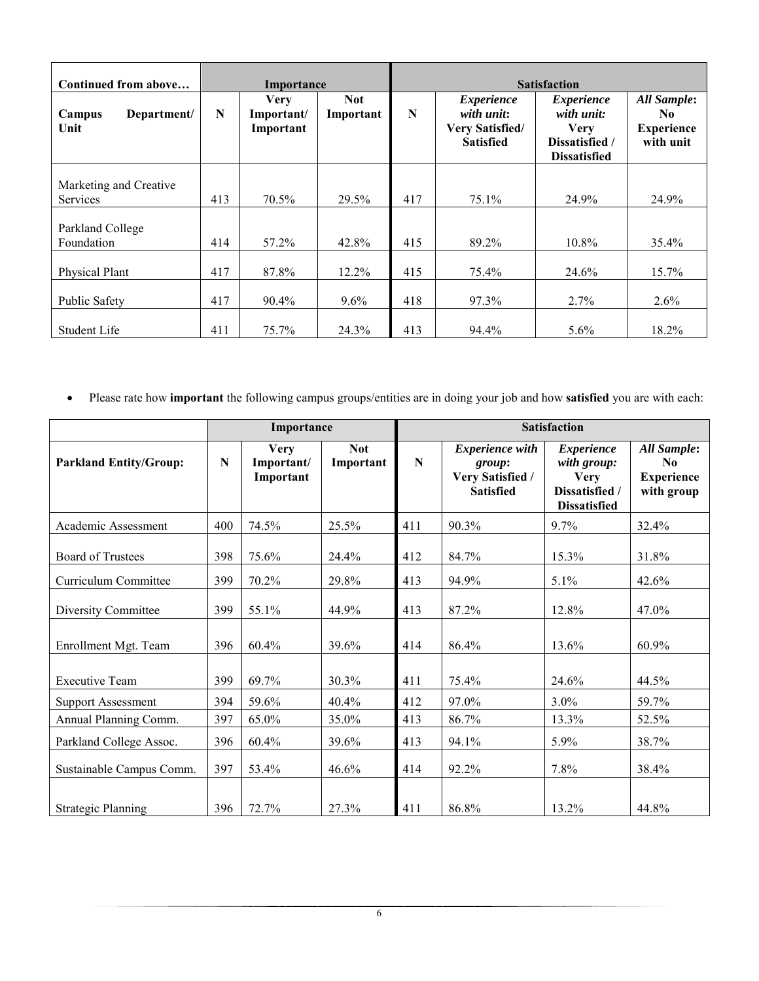| Continued from above                      |     | Importance                             |                         | <b>Satisfaction</b> |                                                                               |                                                                                         |                                                             |
|-------------------------------------------|-----|----------------------------------------|-------------------------|---------------------|-------------------------------------------------------------------------------|-----------------------------------------------------------------------------------------|-------------------------------------------------------------|
| Department/<br>Campus<br>Unit             | N   | <b>Very</b><br>Important/<br>Important | <b>Not</b><br>Important | N                   | <i>Experience</i><br>with unit:<br><b>Very Satisfied/</b><br><b>Satisfied</b> | <i>Experience</i><br>with unit:<br><b>Very</b><br>Dissatisfied /<br><b>Dissatisfied</b> | <b>All Sample:</b><br>No.<br><b>Experience</b><br>with unit |
| Marketing and Creative<br><b>Services</b> | 413 | 70.5%                                  | 29.5%                   | 417                 | 75.1%                                                                         | 24.9%                                                                                   | 24.9%                                                       |
| Parkland College<br>Foundation            | 414 | 57.2%                                  | 42.8%                   | 415                 | 89.2%                                                                         | 10.8%                                                                                   | 35.4%                                                       |
| Physical Plant                            | 417 | 87.8%                                  | $12.2\%$                | 415                 | 75.4%                                                                         | 24.6%                                                                                   | 15.7%                                                       |
| Public Safety                             | 417 | 90.4%                                  | $9.6\%$                 | 418                 | 97.3%                                                                         | 2.7%                                                                                    | $2.6\%$                                                     |
| Student Life                              | 411 | 75.7%                                  | 24.3%                   | 413                 | 94.4%                                                                         | 5.6%                                                                                    | 18.2%                                                       |

• Please rate how **important** the following campus groups/entities are in doing your job and how **satisfied** you are with each:

|                               |     | Importance                             |                         |     |                                                                          | <b>Satisfaction</b>                                                                      |                                                                  |  |
|-------------------------------|-----|----------------------------------------|-------------------------|-----|--------------------------------------------------------------------------|------------------------------------------------------------------------------------------|------------------------------------------------------------------|--|
| <b>Parkland Entity/Group:</b> | N   | <b>Very</b><br>Important/<br>Important | <b>Not</b><br>Important | N   | <b>Experience</b> with<br>group:<br>Very Satisfied /<br><b>Satisfied</b> | <b>Experience</b><br>with group:<br><b>Very</b><br>Dissatisfied /<br><b>Dissatisfied</b> | All Sample:<br>N <sub>0</sub><br><b>Experience</b><br>with group |  |
| Academic Assessment           | 400 | 74.5%                                  | 25.5%                   | 411 | 90.3%                                                                    | 9.7%                                                                                     | 32.4%                                                            |  |
| <b>Board of Trustees</b>      | 398 | 75.6%                                  | 24.4%                   | 412 | 84.7%                                                                    | 15.3%                                                                                    | 31.8%                                                            |  |
| Curriculum Committee          | 399 | 70.2%                                  | 29.8%                   | 413 | 94.9%                                                                    | 5.1%                                                                                     | 42.6%                                                            |  |
| Diversity Committee           | 399 | 55.1%                                  | 44.9%                   | 413 | 87.2%                                                                    | 12.8%                                                                                    | 47.0%                                                            |  |
| Enrollment Mgt. Team          | 396 | 60.4%                                  | 39.6%                   | 414 | 86.4%                                                                    | 13.6%                                                                                    | 60.9%                                                            |  |
| <b>Executive Team</b>         | 399 | 69.7%                                  | 30.3%                   | 411 | 75.4%                                                                    | 24.6%                                                                                    | 44.5%                                                            |  |
| <b>Support Assessment</b>     | 394 | 59.6%                                  | 40.4%                   | 412 | 97.0%                                                                    | 3.0%                                                                                     | 59.7%                                                            |  |
| Annual Planning Comm.         | 397 | 65.0%                                  | 35.0%                   | 413 | 86.7%                                                                    | 13.3%                                                                                    | 52.5%                                                            |  |
| Parkland College Assoc.       | 396 | 60.4%                                  | 39.6%                   | 413 | 94.1%                                                                    | 5.9%                                                                                     | 38.7%                                                            |  |
| Sustainable Campus Comm.      | 397 | 53.4%                                  | 46.6%                   | 414 | 92.2%                                                                    | 7.8%                                                                                     | 38.4%                                                            |  |
| <b>Strategic Planning</b>     | 396 | 72.7%                                  | 27.3%                   | 411 | 86.8%                                                                    | 13.2%                                                                                    | 44.8%                                                            |  |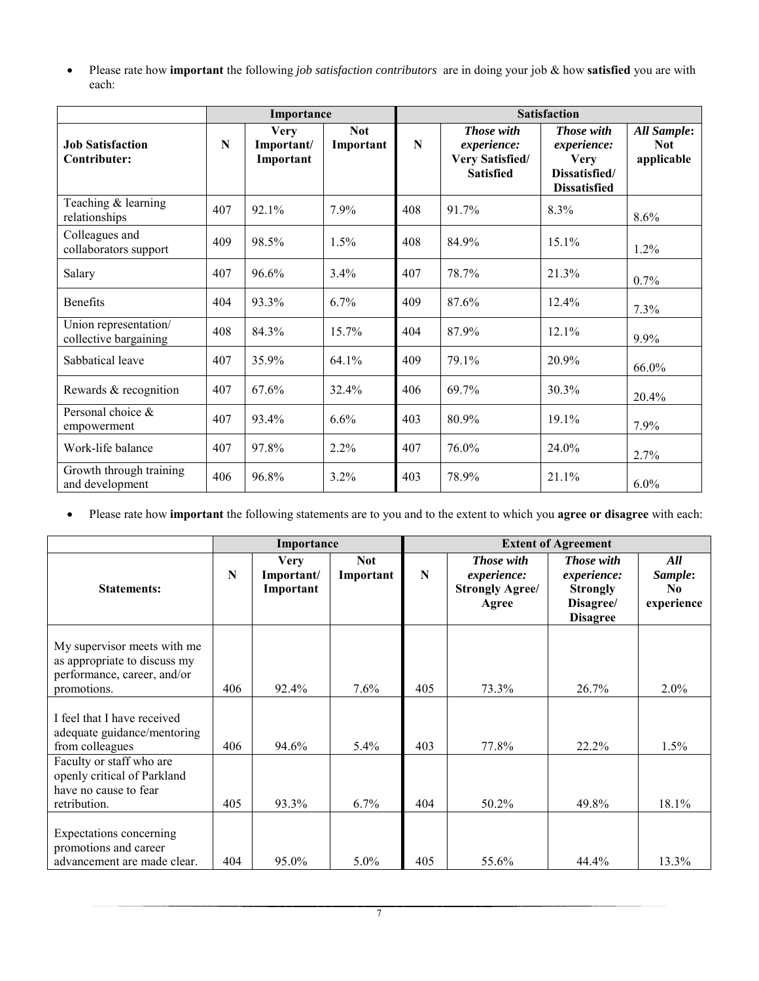• Please rate how **important** the following *job satisfaction contributors* are in doing your job & how **satisfied** you are with each:

|                                                |     | Importance                             |                         | <b>Satisfaction</b> |                                                                         |                                                                                         |                                                |  |
|------------------------------------------------|-----|----------------------------------------|-------------------------|---------------------|-------------------------------------------------------------------------|-----------------------------------------------------------------------------------------|------------------------------------------------|--|
| <b>Job Satisfaction</b><br>Contributer:        | N   | <b>Very</b><br>Important/<br>Important | <b>Not</b><br>Important | $\mathbf N$         | Those with<br>experience:<br><b>Very Satisfied/</b><br><b>Satisfied</b> | <b>Those</b> with<br>experience:<br><b>Very</b><br>Dissatisfied/<br><b>Dissatisfied</b> | <b>All Sample:</b><br><b>Not</b><br>applicable |  |
| Teaching & learning<br>relationships           | 407 | 92.1%                                  | 7.9%                    | 408                 | 91.7%                                                                   | 8.3%                                                                                    | 8.6%                                           |  |
| Colleagues and<br>collaborators support        | 409 | 98.5%                                  | $1.5\%$                 | 408                 | 84.9%                                                                   | $15.1\%$                                                                                | 1.2%                                           |  |
| Salary                                         | 407 | 96.6%                                  | 3.4%                    | 407                 | 78.7%                                                                   | 21.3%                                                                                   | 0.7%                                           |  |
| <b>Benefits</b>                                | 404 | 93.3%                                  | 6.7%                    | 409                 | 87.6%                                                                   | 12.4%                                                                                   | 7.3%                                           |  |
| Union representation/<br>collective bargaining | 408 | 84.3%                                  | 15.7%                   | 404                 | 87.9%                                                                   | 12.1%                                                                                   | $9.9\%$                                        |  |
| Sabbatical leave                               | 407 | 35.9%                                  | 64.1%                   | 409                 | 79.1%                                                                   | 20.9%                                                                                   | 66.0%                                          |  |
| Rewards & recognition                          | 407 | 67.6%                                  | 32.4%                   | 406                 | 69.7%                                                                   | 30.3%                                                                                   | $20.4\%$                                       |  |
| Personal choice &<br>empowerment               | 407 | 93.4%                                  | 6.6%                    | 403                 | 80.9%                                                                   | 19.1%                                                                                   | 7.9%                                           |  |
| Work-life balance                              | 407 | 97.8%                                  | $2.2\%$                 | 407                 | 76.0%                                                                   | 24.0%                                                                                   | 2.7%                                           |  |
| Growth through training<br>and development     | 406 | 96.8%                                  | 3.2%                    | 403                 | 78.9%                                                                   | 21.1%                                                                                   | $6.0\%$                                        |  |

• Please rate how **important** the following statements are to you and to the extent to which you **agree or disagree** with each:

|                                                                                                           |     | Importance                             |                         | <b>Extent of Agreement</b> |                                                                     |                                                                                     |                                                |  |
|-----------------------------------------------------------------------------------------------------------|-----|----------------------------------------|-------------------------|----------------------------|---------------------------------------------------------------------|-------------------------------------------------------------------------------------|------------------------------------------------|--|
| <b>Statements:</b>                                                                                        | N   | <b>Very</b><br>Important/<br>Important | <b>Not</b><br>Important | N                          | <b>Those</b> with<br>experience:<br><b>Strongly Agree/</b><br>Agree | <b>Those with</b><br>experience:<br><b>Strongly</b><br>Disagree/<br><b>Disagree</b> | All<br>Sample:<br>N <sub>0</sub><br>experience |  |
| My supervisor meets with me<br>as appropriate to discuss my<br>performance, career, and/or<br>promotions. | 406 | 92.4%                                  | $7.6\%$                 | 405                        | 73.3%                                                               | 26.7%                                                                               | $2.0\%$                                        |  |
| I feel that I have received<br>adequate guidance/mentoring<br>from colleagues                             | 406 | 94.6%                                  | $5.4\%$                 | 403                        | 77.8%                                                               | 22.2%                                                                               | $1.5\%$                                        |  |
| Faculty or staff who are<br>openly critical of Parkland<br>have no cause to fear<br>retribution.          | 405 | 93.3%                                  | $6.7\%$                 | 404                        | 50.2%                                                               | 49.8%                                                                               | 18.1%                                          |  |
| Expectations concerning<br>promotions and career<br>advancement are made clear.                           | 404 | 95.0%                                  | 5.0%                    | 405                        | 55.6%                                                               | 44.4%                                                                               | 13.3%                                          |  |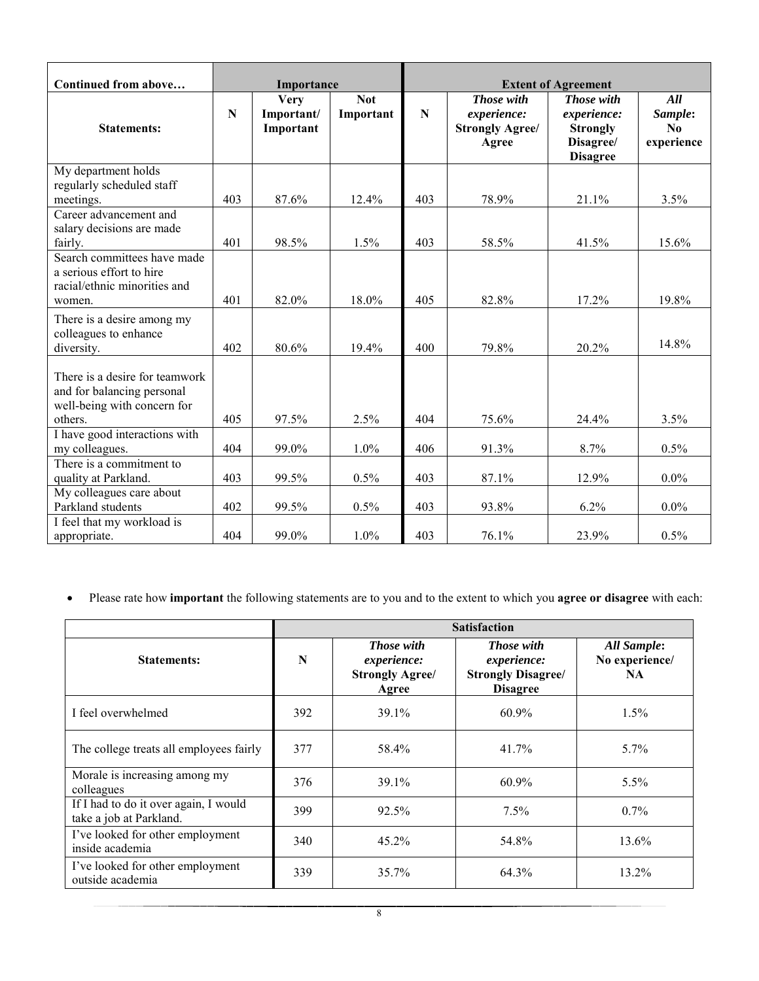| Continued from above                                                                                   | Importance  |                                        |            | <b>Extent of Agreement</b> |                                                              |                                                                              |                                                |  |  |
|--------------------------------------------------------------------------------------------------------|-------------|----------------------------------------|------------|----------------------------|--------------------------------------------------------------|------------------------------------------------------------------------------|------------------------------------------------|--|--|
|                                                                                                        |             |                                        | <b>Not</b> |                            |                                                              |                                                                              |                                                |  |  |
| <b>Statements:</b>                                                                                     | $\mathbf N$ | <b>Very</b><br>Important/<br>Important | Important  | $\mathbf N$                | Those with<br>experience:<br><b>Strongly Agree/</b><br>Agree | Those with<br>experience:<br><b>Strongly</b><br>Disagree/<br><b>Disagree</b> | All<br>Sample:<br>N <sub>0</sub><br>experience |  |  |
| My department holds<br>regularly scheduled staff<br>meetings.                                          | 403         | 87.6%                                  | 12.4%      | 403                        | 78.9%                                                        | 21.1%                                                                        | 3.5%                                           |  |  |
| Career advancement and<br>salary decisions are made<br>fairly.                                         | 401         | 98.5%                                  | 1.5%       | 403                        | 58.5%                                                        | 41.5%                                                                        | 15.6%                                          |  |  |
| Search committees have made<br>a serious effort to hire<br>racial/ethnic minorities and<br>women.      | 401         | 82.0%                                  | 18.0%      | 405                        | 82.8%                                                        | 17.2%                                                                        | 19.8%                                          |  |  |
| There is a desire among my<br>colleagues to enhance<br>diversity.                                      | 402         | 80.6%                                  | 19.4%      | 400                        | 79.8%                                                        | 20.2%                                                                        | 14.8%                                          |  |  |
| There is a desire for teamwork<br>and for balancing personal<br>well-being with concern for<br>others. | 405         | 97.5%                                  | 2.5%       | 404                        | 75.6%                                                        | 24.4%                                                                        | 3.5%                                           |  |  |
| I have good interactions with<br>my colleagues.                                                        | 404         | 99.0%                                  | 1.0%       | 406                        | 91.3%                                                        | 8.7%                                                                         | 0.5%                                           |  |  |
| There is a commitment to<br>quality at Parkland.                                                       | 403         | 99.5%                                  | 0.5%       | 403                        | 87.1%                                                        | 12.9%                                                                        | $0.0\%$                                        |  |  |
| My colleagues care about<br>Parkland students                                                          | 402         | 99.5%                                  | 0.5%       | 403                        | 93.8%                                                        | $6.2\%$                                                                      | $0.0\%$                                        |  |  |
| I feel that my workload is<br>appropriate.                                                             | 404         | 99.0%                                  | 1.0%       | 403                        | 76.1%                                                        | 23.9%                                                                        | 0.5%                                           |  |  |

• Please rate how **important** the following statements are to you and to the extent to which you **agree or disagree** with each:

|                                                                  |     | <b>Satisfaction</b>                                                        |                                                                                         |                                            |  |  |  |  |  |  |
|------------------------------------------------------------------|-----|----------------------------------------------------------------------------|-----------------------------------------------------------------------------------------|--------------------------------------------|--|--|--|--|--|--|
| <b>Statements:</b>                                               | N   | <b>Those with</b><br><i>experience:</i><br><b>Strongly Agree/</b><br>Agree | <b>Those with</b><br><i>experience:</i><br><b>Strongly Disagree/</b><br><b>Disagree</b> | All Sample:<br>No experience/<br><b>NA</b> |  |  |  |  |  |  |
| I feel overwhelmed                                               | 392 | 39.1%                                                                      | 60.9%                                                                                   | $1.5\%$                                    |  |  |  |  |  |  |
| The college treats all employees fairly                          | 377 | 58.4%                                                                      | 41.7%                                                                                   | 5.7%                                       |  |  |  |  |  |  |
| Morale is increasing among my<br>colleagues                      | 376 | 39.1%                                                                      | 60.9%                                                                                   | 5.5%                                       |  |  |  |  |  |  |
| If I had to do it over again, I would<br>take a job at Parkland. | 399 | $92.5\%$                                                                   | $7.5\%$                                                                                 | $0.7\%$                                    |  |  |  |  |  |  |
| I've looked for other employment<br>inside academia              | 340 | $45.2\%$                                                                   | 54.8%                                                                                   | 13.6%                                      |  |  |  |  |  |  |
| I've looked for other employment<br>outside academia             | 339 | 35.7%                                                                      | 64.3%                                                                                   | 13.2%                                      |  |  |  |  |  |  |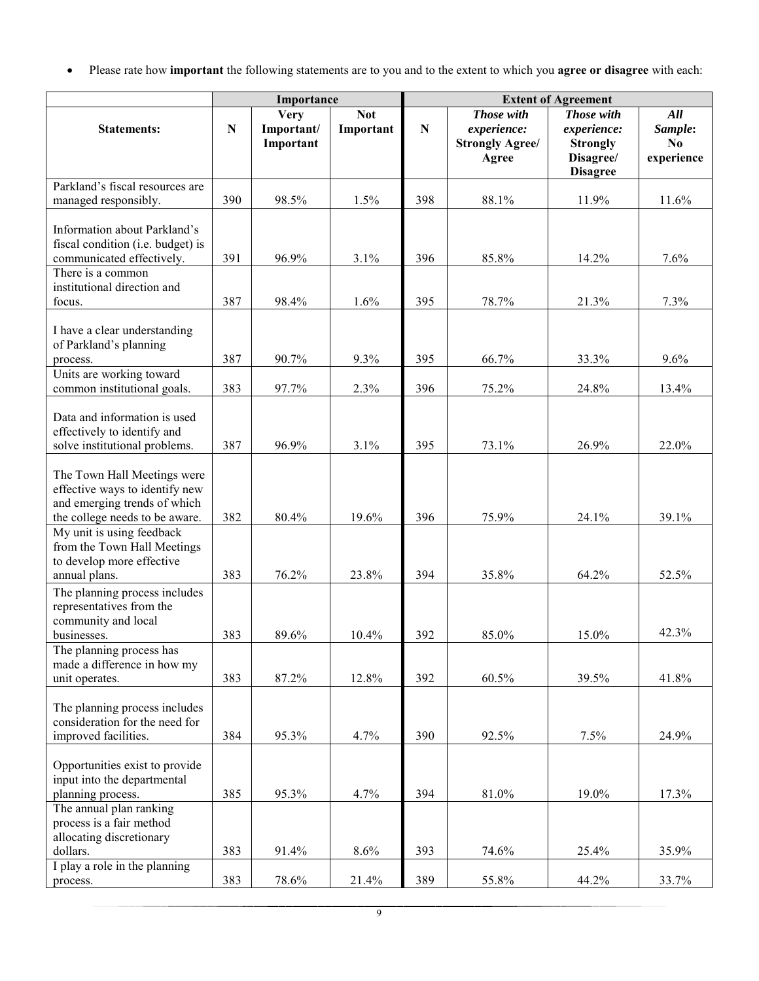• Please rate how **important** the following statements are to you and to the extent to which you **agree or disagree** with each:

|                                                                                                                                 |           | Importance                             |                         | <b>Extent of Agreement</b> |                                                              |                                                                                     |                                    |  |  |  |
|---------------------------------------------------------------------------------------------------------------------------------|-----------|----------------------------------------|-------------------------|----------------------------|--------------------------------------------------------------|-------------------------------------------------------------------------------------|------------------------------------|--|--|--|
| <b>Statements:</b>                                                                                                              | ${\bf N}$ | <b>Very</b><br>Important/<br>Important | <b>Not</b><br>Important | ${\bf N}$                  | Those with<br>experience:<br><b>Strongly Agree/</b><br>Agree | <b>Those with</b><br>experience:<br><b>Strongly</b><br>Disagree/<br><b>Disagree</b> | All<br>Sample:<br>No<br>experience |  |  |  |
| Parkland's fiscal resources are                                                                                                 |           |                                        |                         |                            |                                                              |                                                                                     |                                    |  |  |  |
| managed responsibly.                                                                                                            | 390       | 98.5%                                  | 1.5%                    | 398                        | 88.1%                                                        | 11.9%                                                                               | 11.6%                              |  |  |  |
| Information about Parkland's<br>fiscal condition (i.e. budget) is<br>communicated effectively.<br>There is a common             | 391       | 96.9%                                  | 3.1%                    | 396                        | 85.8%                                                        | 14.2%                                                                               | 7.6%                               |  |  |  |
| institutional direction and<br>focus.                                                                                           | 387       | 98.4%                                  | 1.6%                    | 395                        | 78.7%                                                        | 21.3%                                                                               | 7.3%                               |  |  |  |
| I have a clear understanding<br>of Parkland's planning<br>process.<br>Units are working toward                                  | 387       | 90.7%                                  | 9.3%                    | 395                        | 66.7%                                                        | 33.3%                                                                               | 9.6%                               |  |  |  |
| common institutional goals.                                                                                                     | 383       | 97.7%                                  | 2.3%                    | 396                        | 75.2%                                                        | 24.8%                                                                               | 13.4%                              |  |  |  |
| Data and information is used<br>effectively to identify and<br>solve institutional problems.                                    | 387       | 96.9%                                  | 3.1%                    | 395                        | 73.1%                                                        | 26.9%                                                                               | 22.0%                              |  |  |  |
| The Town Hall Meetings were<br>effective ways to identify new<br>and emerging trends of which<br>the college needs to be aware. | 382       | 80.4%                                  | 19.6%                   | 396                        | 75.9%                                                        | 24.1%                                                                               | 39.1%                              |  |  |  |
| My unit is using feedback<br>from the Town Hall Meetings<br>to develop more effective<br>annual plans.                          | 383       | 76.2%                                  | 23.8%                   | 394                        | 35.8%                                                        | 64.2%                                                                               | 52.5%                              |  |  |  |
| The planning process includes<br>representatives from the<br>community and local<br>businesses.                                 | 383       | 89.6%                                  | 10.4%                   | 392                        | 85.0%                                                        | 15.0%                                                                               | 42.3%                              |  |  |  |
| The planning process has<br>made a difference in how my<br>unit operates.                                                       | 383       | 87.2%                                  | 12.8%                   | 392                        | 60.5%                                                        | 39.5%                                                                               | 41.8%                              |  |  |  |
| The planning process includes<br>consideration for the need for<br>improved facilities.                                         | 384       | 95.3%                                  | 4.7%                    | 390                        | 92.5%                                                        | 7.5%                                                                                | 24.9%                              |  |  |  |
| Opportunities exist to provide<br>input into the departmental<br>planning process.<br>The annual plan ranking                   | 385       | 95.3%                                  | 4.7%                    | 394                        | 81.0%                                                        | 19.0%                                                                               | 17.3%                              |  |  |  |
| process is a fair method<br>allocating discretionary<br>dollars.<br>I play a role in the planning                               | 383       | 91.4%                                  | 8.6%                    | 393                        | 74.6%                                                        | 25.4%                                                                               | 35.9%                              |  |  |  |
| process.                                                                                                                        | 383       | 78.6%                                  | 21.4%                   | 389                        | 55.8%                                                        | 44.2%                                                                               | 33.7%                              |  |  |  |

9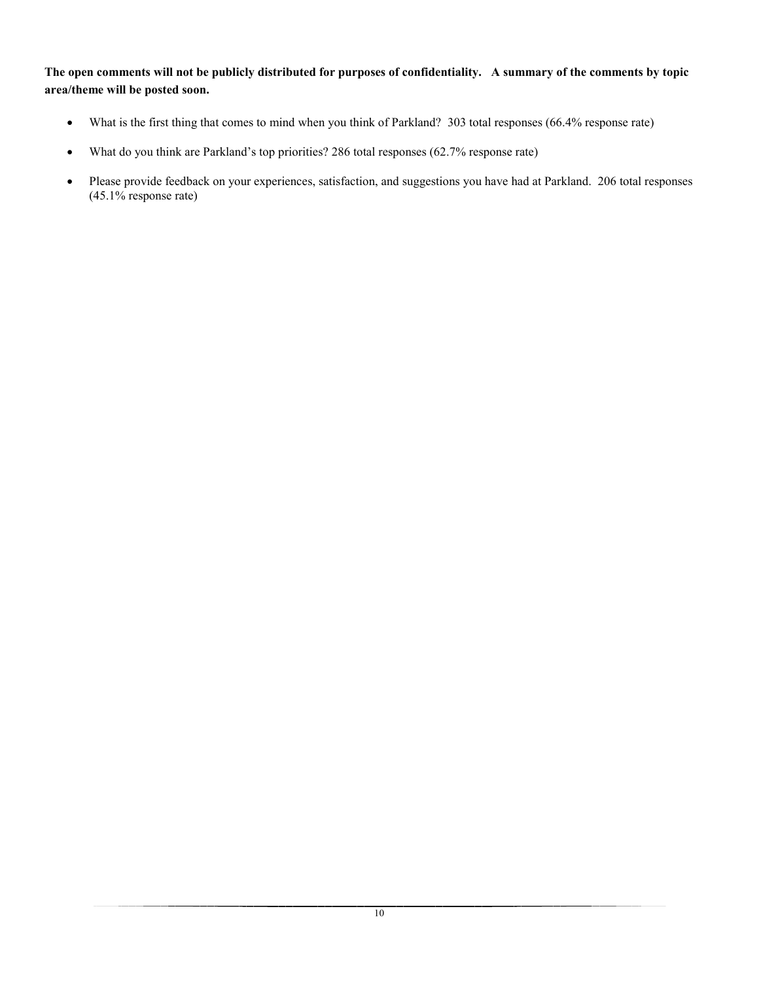**The open comments will not be publicly distributed for purposes of confidentiality. A summary of the comments by topic area/theme will be posted soon.** 

- What is the first thing that comes to mind when you think of Parkland? 303 total responses (66.4% response rate)
- What do you think are Parkland's top priorities? 286 total responses (62.7% response rate)
- Please provide feedback on your experiences, satisfaction, and suggestions you have had at Parkland. 206 total responses (45.1% response rate)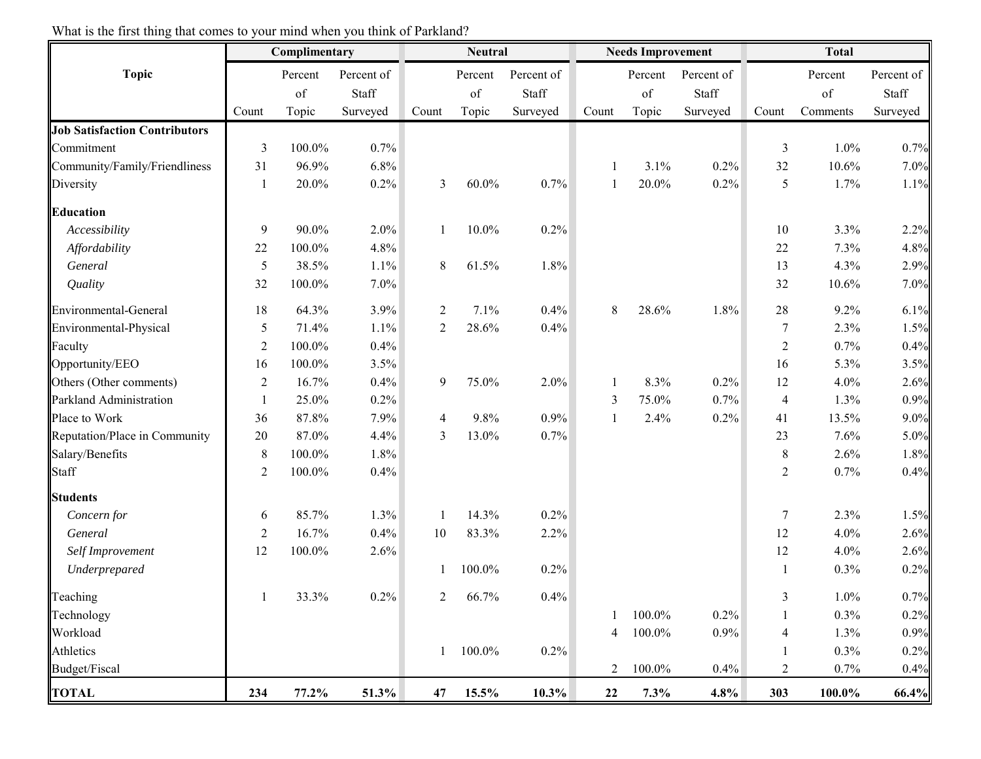|                                      | Complimentary    |         |            | <b>Neutral</b> |          |            |                | <b>Needs Improvement</b> |            | <b>Total</b>     |          |            |
|--------------------------------------|------------------|---------|------------|----------------|----------|------------|----------------|--------------------------|------------|------------------|----------|------------|
| <b>Topic</b>                         |                  | Percent | Percent of |                | Percent  | Percent of |                | Percent                  | Percent of |                  | Percent  | Percent of |
|                                      |                  | of      | Staff      |                | of       | Staff      |                | of                       | Staff      |                  | of       | Staff      |
|                                      | Count            | Topic   | Surveyed   | Count          | Topic    | Surveyed   | Count          | Topic                    | Surveyed   | Count            | Comments | Surveyed   |
| <b>Job Satisfaction Contributors</b> |                  |         |            |                |          |            |                |                          |            |                  |          |            |
| Commitment                           | $\mathfrak{Z}$   | 100.0%  | 0.7%       |                |          |            |                |                          |            | 3                | 1.0%     | 0.7%       |
| Community/Family/Friendliness        | 31               | 96.9%   | 6.8%       |                |          |            |                | 3.1%                     | 0.2%       | 32               | 10.6%    | 7.0%       |
| Diversity                            | $\mathbf{1}$     | 20.0%   | 0.2%       | 3              | $60.0\%$ | 0.7%       |                | 20.0%                    | 0.2%       | 5                | 1.7%     | 1.1%       |
| <b>Education</b>                     |                  |         |            |                |          |            |                |                          |            |                  |          |            |
| Accessibility                        | 9                | 90.0%   | 2.0%       |                | $10.0\%$ | 0.2%       |                |                          |            | 10               | 3.3%     | 2.2%       |
| Affordability                        | 22               | 100.0%  | 4.8%       |                |          |            |                |                          |            | $22\,$           | 7.3%     | 4.8%       |
| General                              | 5                | 38.5%   | 1.1%       | 8              | 61.5%    | 1.8%       |                |                          |            | 13               | 4.3%     | 2.9%       |
| Quality                              | 32               | 100.0%  | 7.0%       |                |          |            |                |                          |            | 32               | 10.6%    | 7.0%       |
| Environmental-General                | 18               | 64.3%   | 3.9%       | $\overline{2}$ | 7.1%     | 0.4%       | 8              | 28.6%                    | 1.8%       | 28               | 9.2%     | 6.1%       |
| Environmental-Physical               | 5                | 71.4%   | 1.1%       | 2              | 28.6%    | 0.4%       |                |                          |            | $\overline{7}$   | 2.3%     | 1.5%       |
| Faculty                              | $\boldsymbol{2}$ | 100.0%  | 0.4%       |                |          |            |                |                          |            | $\boldsymbol{2}$ | 0.7%     | 0.4%       |
| Opportunity/EEO                      | 16               | 100.0%  | 3.5%       |                |          |            |                |                          |            | 16               | 5.3%     | 3.5%       |
| Others (Other comments)              | $\overline{2}$   | 16.7%   | 0.4%       | 9              | 75.0%    | 2.0%       |                | 8.3%                     | 0.2%       | 12               | 4.0%     | 2.6%       |
| Parkland Administration              | $\mathbf{1}$     | 25.0%   | 0.2%       |                |          |            | 3              | 75.0%                    | 0.7%       | $\overline{4}$   | 1.3%     | 0.9%       |
| Place to Work                        | 36               | 87.8%   | 7.9%       | 4              | 9.8%     | 0.9%       | 1              | 2.4%                     | 0.2%       | 41               | 13.5%    | 9.0%       |
| Reputation/Place in Community        | 20               | 87.0%   | 4.4%       | 3              | 13.0%    | 0.7%       |                |                          |            | 23               | 7.6%     | 5.0%       |
| Salary/Benefits                      | $\,8\,$          | 100.0%  | 1.8%       |                |          |            |                |                          |            | 8                | 2.6%     | 1.8%       |
| Staff                                | $\overline{2}$   | 100.0%  | 0.4%       |                |          |            |                |                          |            | $\overline{2}$   | 0.7%     | 0.4%       |
| <b>Students</b>                      |                  |         |            |                |          |            |                |                          |            |                  |          |            |
| Concern for                          | 6                | 85.7%   | 1.3%       | -1             | 14.3%    | 0.2%       |                |                          |            | $\tau$           | 2.3%     | 1.5%       |
| General                              | $\overline{2}$   | 16.7%   | 0.4%       | 10             | 83.3%    | 2.2%       |                |                          |            | 12               | 4.0%     | 2.6%       |
| Self Improvement                     | 12               | 100.0%  | 2.6%       |                |          |            |                |                          |            | 12               | 4.0%     | 2.6%       |
| Underprepared                        |                  |         |            |                | 100.0%   | 0.2%       |                |                          |            | 1                | 0.3%     | 0.2%       |
| Teaching                             |                  | 33.3%   | 0.2%       | $\overline{c}$ | 66.7%    | 0.4%       |                |                          |            | $\mathfrak{Z}$   | 1.0%     | 0.7%       |
| Technology                           |                  |         |            |                |          |            |                | 100.0%                   | 0.2%       | 1                | 0.3%     | 0.2%       |
| Workload                             |                  |         |            |                |          |            | 4              | 100.0%                   | 0.9%       | 4                | 1.3%     | 0.9%       |
| Athletics                            |                  |         |            | 1              | 100.0%   | 0.2%       |                |                          |            | 1                | 0.3%     | 0.2%       |
| Budget/Fiscal                        |                  |         |            |                |          |            | $\overline{2}$ | 100.0%                   | 0.4%       | 2                | 0.7%     | 0.4%       |
| <b>TOTAL</b>                         | 234              | 77.2%   | 51.3%      | 47             | 15.5%    | $10.3\%$   | 22             | 7.3%                     | 4.8%       | 303              | 100.0%   | 66.4%      |

What is the first thing that comes to your mind when you think of Parkland?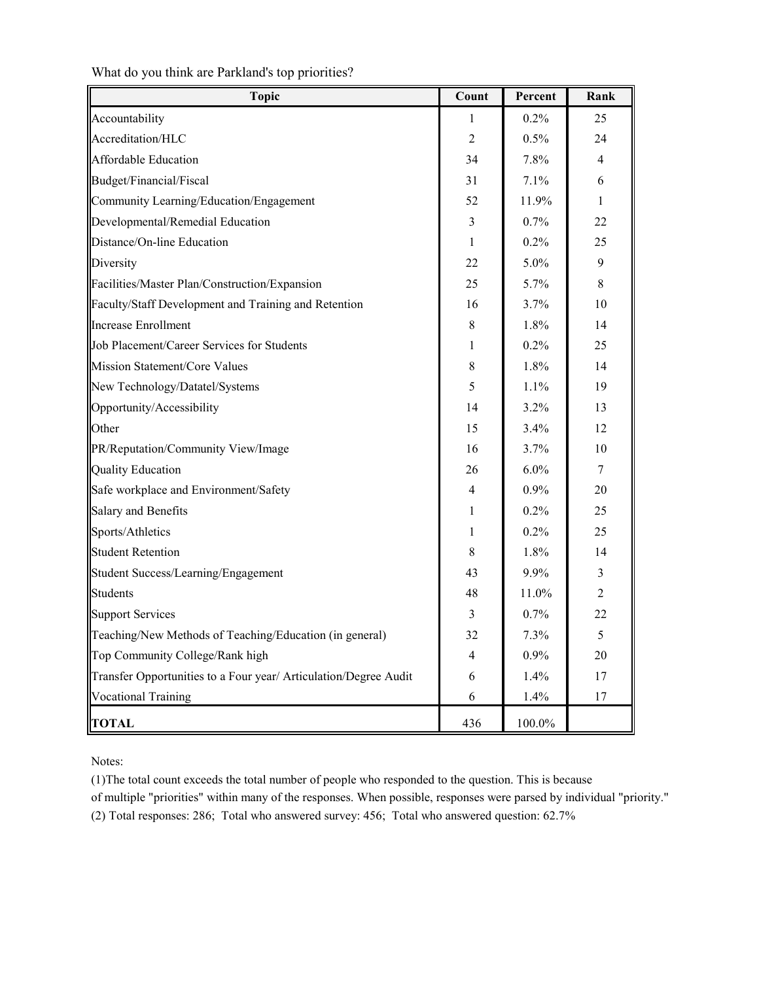| <b>Topic</b>                                                     | Count          | Percent | Rank           |
|------------------------------------------------------------------|----------------|---------|----------------|
| Accountability                                                   | 1              | $0.2\%$ | 25             |
| Accreditation/HLC                                                | 2              | 0.5%    | 24             |
| <b>Affordable Education</b>                                      | 34             | 7.8%    | $\overline{4}$ |
| Budget/Financial/Fiscal                                          | 31             | 7.1%    | 6              |
| Community Learning/Education/Engagement                          | 52             | 11.9%   | 1              |
| Developmental/Remedial Education                                 | 3              | 0.7%    | 22             |
| Distance/On-line Education                                       | 1              | 0.2%    | 25             |
| Diversity                                                        | 22             | $5.0\%$ | 9              |
| Facilities/Master Plan/Construction/Expansion                    | 25             | 5.7%    | 8              |
| Faculty/Staff Development and Training and Retention             | 16             | 3.7%    | 10             |
| <b>Increase Enrollment</b>                                       | $\,$ 8 $\,$    | 1.8%    | 14             |
| Job Placement/Career Services for Students                       | 1              | 0.2%    | 25             |
| Mission Statement/Core Values                                    | 8              | 1.8%    | 14             |
| New Technology/Datatel/Systems                                   | 5              | 1.1%    | 19             |
| Opportunity/Accessibility                                        | 14             | 3.2%    | 13             |
| Other                                                            | 15             | 3.4%    | 12             |
| PR/Reputation/Community View/Image                               | 16             | 3.7%    | 10             |
| <b>Quality Education</b>                                         | 26             | 6.0%    | 7              |
| Safe workplace and Environment/Safety                            | 4              | $0.9\%$ | 20             |
| Salary and Benefits                                              | 1              | $0.2\%$ | 25             |
| Sports/Athletics                                                 | 1              | 0.2%    | 25             |
| <b>Student Retention</b>                                         | 8              | 1.8%    | 14             |
| Student Success/Learning/Engagement                              | 43             | $9.9\%$ | 3              |
| <b>Students</b>                                                  | 48             | 11.0%   | 2              |
| Support Services                                                 | 3              | 0.7%    | 22             |
| Teaching/New Methods of Teaching/Education (in general)          | 32             | 7.3%    | 5              |
| Top Community College/Rank high                                  | $\overline{4}$ | $0.9\%$ | 20             |
| Transfer Opportunities to a Four year/ Articulation/Degree Audit | 6              | 1.4%    | 17             |
| <b>Vocational Training</b>                                       | 6              | 1.4%    | 17             |
| <b>TOTAL</b>                                                     | 436            | 100.0%  |                |

What do you think are Parkland's top priorities?

Notes:

(1)The total count exceeds the total number of people who responded to the question. This is because

of multiple "priorities" within many of the responses. When possible, responses were parsed by individual "priority." (2) Total responses: 286; Total who answered survey: 456; Total who answered question: 62.7%